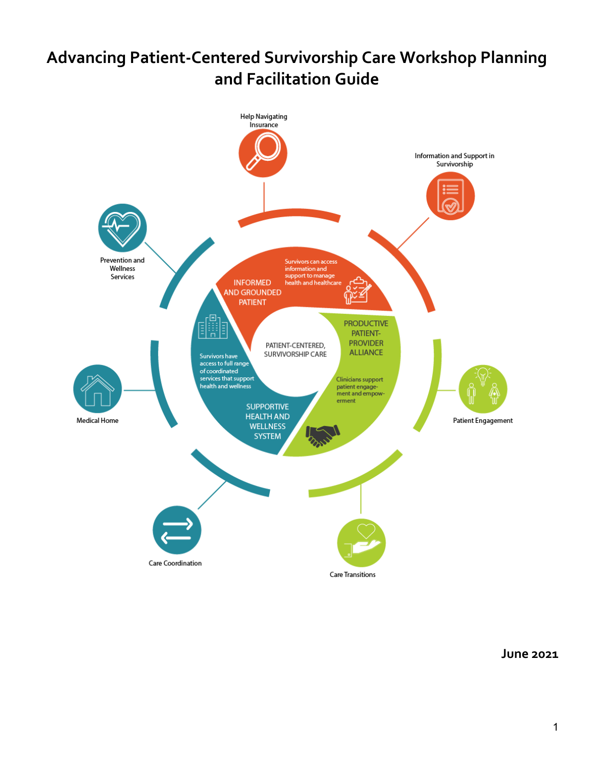# **Advancing Patient-Centered Survivorship Care Workshop Planning and Facilitation Guide**



**June 2021**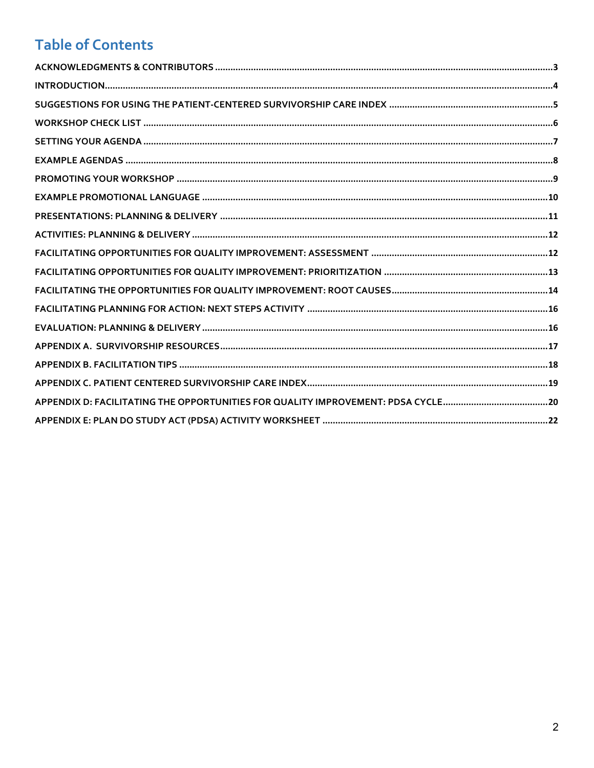## **Table of Contents**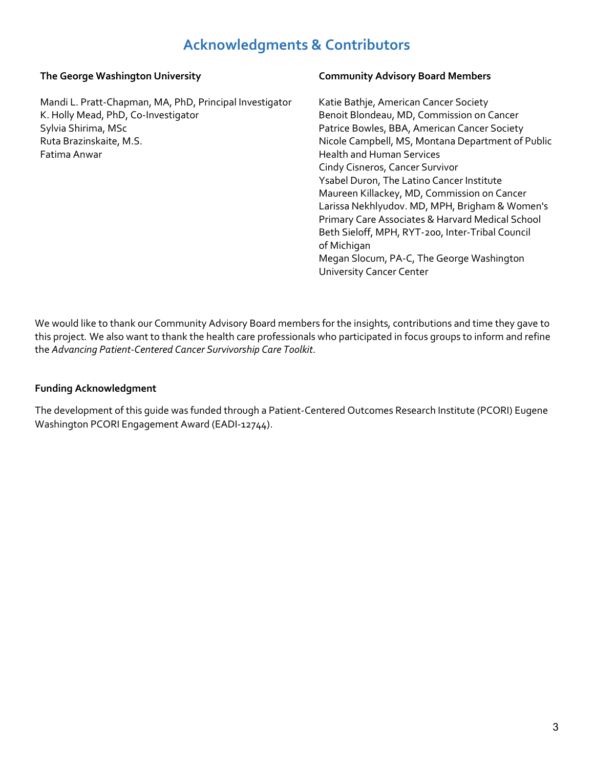## **Acknowledgments & Contributors**

### <span id="page-2-0"></span>**The George Washington University**

Mandi L. Pratt-Chapman, MA, PhD, Principal Investigator K. Holly Mead, PhD, Co-Investigator Sylvia Shirima, MSc Ruta Brazinskaite, M.S. Fatima Anwar

#### **Community Advisory Board Members**

Katie Bathje, American Cancer Society Benoit Blondeau, MD, Commission on Cancer Patrice Bowles, BBA, American Cancer Society Nicole Campbell, MS, Montana Department of Public Health and Human Services Cindy Cisneros, Cancer Survivor Ysabel Duron, The Latino Cancer Institute Maureen Killackey, MD, Commission on Cancer Larissa Nekhlyudov. MD, MPH, Brigham & Women's Primary Care Associates & Harvard Medical School Beth Sieloff, MPH, RYT-200, Inter-Tribal Council of Michigan Megan Slocum, PA-C, The George Washington University Cancer Center

We would like to thank our Community Advisory Board members for the insights, contributions and time they gave to this project*.* We also want to thank the health care professionals who participated in focus groups to inform and refine the *Advancing Patient-Centered Cancer Survivorship Care Toolkit*.

#### **Funding Acknowledgment**

The development of this guide was funded through a Patient-Centered Outcomes Research Institute (PCORI) Eugene Washington PCORI Engagement Award (EADI-12744).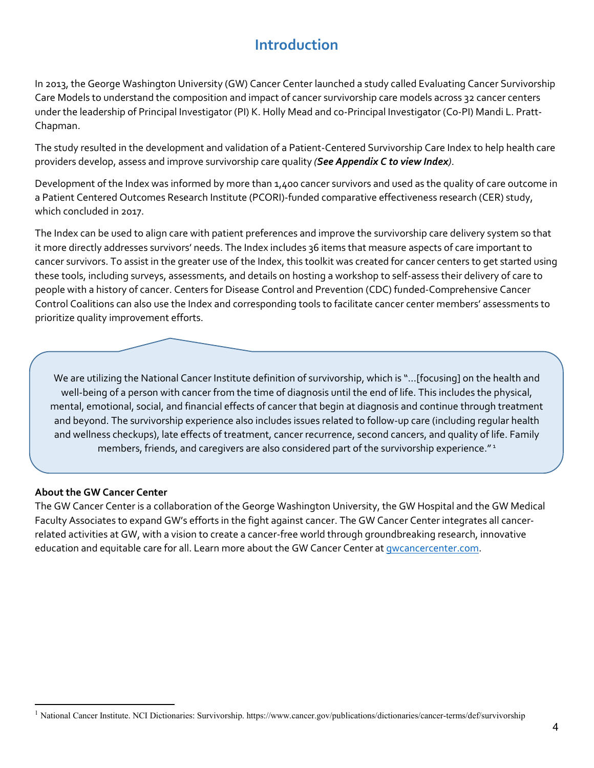## **Introduction**

<span id="page-3-0"></span>In 2013, the George Washington University (GW) Cancer Center launched a study called Evaluating Cancer Survivorship Care Models to understand the composition and impact of cancer survivorship care models across 32 cancer centers under the leadership of Principal Investigator (PI) K. Holly Mead and co-Principal Investigator (Co-PI) Mandi L. Pratt-Chapman.

The study resulted in the development and validation of a Patient-Centered Survivorship Care Index to help health care providers develop, assess and improve survivorship care quality *(See Appendix C to view Index)*.

Development of the Index was informed by more than 1,400 cancer survivors and used as the quality of care outcome in a Patient Centered Outcomes Research Institute (PCORI)-funded comparative effectiveness research (CER) study, which concluded in 2017.

The Index can be used to align care with patient preferences and improve the survivorship care delivery system so that it more directly addresses survivors' needs. The Index includes 36 items that measure aspects of care important to cancer survivors. To assist in the greater use of the Index, this toolkit was created for cancer centers to get started using these tools, including surveys, assessments, and details on hosting a workshop to self-assess their delivery of care to people with a history of cancer. Centers for Disease Control and Prevention (CDC) funded-Comprehensive Cancer Control Coalitions can also use the Index and corresponding tools to facilitate cancer center members' assessments to prioritize quality improvement efforts.

We are utilizing the National Cancer Institute definition of survivorship, which is "…[focusing] on the health and well-being of a person with cancer from the time of diagnosis until the end of life. This includes the physical, mental, emotional, social, and financial effects of cancer that begin at diagnosis and continue through treatment and beyond. The survivorship experience also includes issues related to follow-up care (including regular health and wellness checkups), late effects of treatment, cancer recurrence, second cancers, and quality of life. Family members, friends, and caregivers are also considered part of the survivorship experience." 1

### **About the GW Cancer Center**

**[1](#page-3-1)**

 $\overline{\phantom{a}}$ 

The GW Cancer Center is a collaboration of the George Washington University, the GW Hospital and the GW Medical Faculty Associates to expand GW's efforts in the fight against cancer. The GW Cancer Center integrates all cancerrelated activities at GW, with a vision to create a cancer-free world through groundbreaking research, innovative education and equitable care for all. Learn more about the GW Cancer Center at *gwcancercenter.com*.

<span id="page-3-1"></span><sup>&</sup>lt;sup>1</sup> National Cancer Institute. NCI Dictionaries: Survivorship. https://www.cancer.gov/publications/dictionaries/cancer-terms/def/survivorship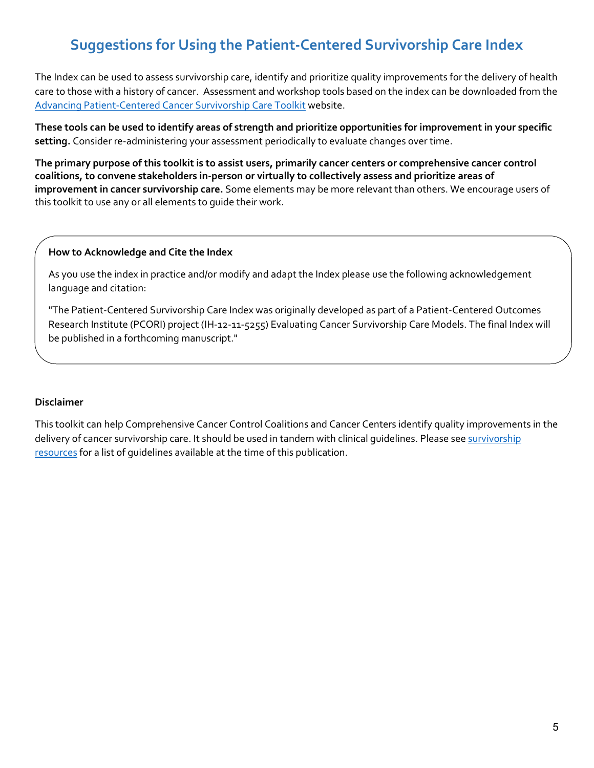## <span id="page-4-0"></span>**Suggestions for Using the Patient-Centered Survivorship Care Index**

The Index can be used to assess survivorship care, identify and prioritize quality improvements for the delivery of health care to those with a history of cancer. Assessment and workshop tools based on the index can be downloaded from the [Advancing Patient-Centered Cancer Survivorship Care Toolkit](https://cancercontroltap.smhs.gwu.edu/news/advancing-patient-centered-cancer-survivorship-care-toolkit) website.

**These tools can be used to identify areas of strength and prioritize opportunities for improvement in your specific setting.** Consider re-administering your assessment periodically to evaluate changes over time.

**The primary purpose of this toolkit is to assist users, primarily cancer centers or comprehensive cancer control coalitions, to convene stakeholders in-person or virtually to collectively assess and prioritize areas of improvement in cancer survivorship care.** Some elements may be more relevant than others. We encourage users of this toolkit to use any or all elements to guide their work.

#### **How to Acknowledge and Cite the Index**

As you use the index in practice and/or modify and adapt the Index please use the following acknowledgement language and citation:

"The Patient-Centered Survivorship Care Index was originally developed as part of a Patient-Centered Outcomes Research Institute (PCORI) project (IH-12-11-5255) Evaluating Cancer Survivorship Care Models. The final Index will be published in a forthcoming manuscript."

### **Disclaimer**

This toolkit can help Comprehensive Cancer Control Coalitions and Cancer Centers identify quality improvements in the [delivery of cancer survivorship care. It should be used in tandem with clinical guidelines. Please see survivorship](https://bit.ly/2021SurvivorshipResources508) [resources](https://bit.ly/2021SurvivorshipResources) for a list of guidelines available at the time of this publication.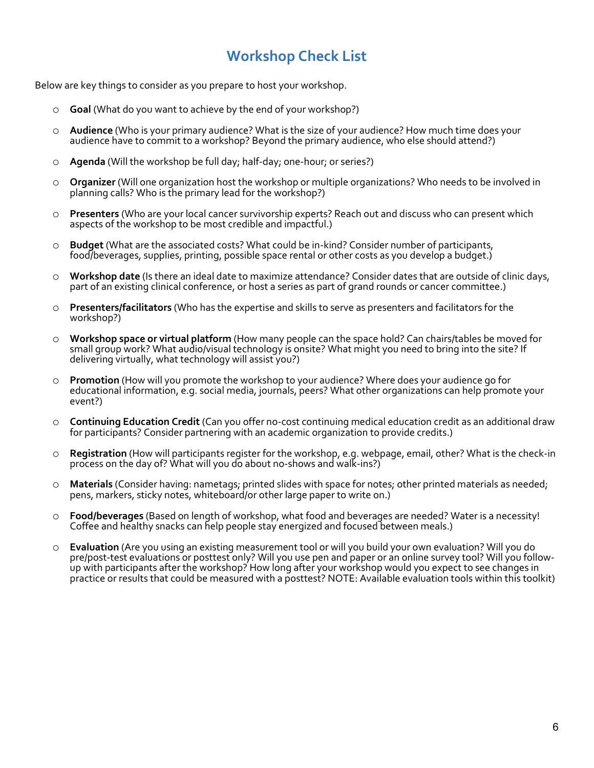## **Workshop Check List**

<span id="page-5-0"></span>Below are key things to consider as you prepare to host your workshop.

- o **Goal** (What do you want to achieve by the end of your workshop?)
- o **Audience** (Who is your primary audience? What is the size of your audience? How much time does your audience have to commit to a workshop? Beyond the primary audience, who else should attend?)
- o **Agenda** (Will the workshop be full day; half-day; one-hour; or series?)
- o **Organizer** (Will one organization host the workshop or multiple organizations? Who needs to be involved in planning calls? Who is the primary lead for the workshop?)
- **Presenters** (Who are your local cancer survivorship experts? Reach out and discuss who can present which aspects of the workshop to be most credible and impactful.)
- o **Budget** (What are the associated costs? What could be in-kind? Consider number of participants, food/beverages, supplies, printing, possible space rental or other costs as you develop a budget.)
- <sup>o</sup> **Workshop date** (Is there an ideal date to maximize attendance? Consider dates that are outside of clinic days, part of an existing clinical conference, or host a series as part of grand rounds or cancer committee.)
- o **Presenters/facilitators** (Who has the expertise and skills to serve as presenters and facilitators for the workshop?)
- o **Workshop space or virtual platform** (How many people can the space hold? Can chairs/tables be moved for small group work? What audio/visual technology is onsite? What might you need to bring into the site? If delivering virtually, what technology will assist you?)
- **Promotion** (How will you promote the workshop to your audience? Where does your audience go for educational information, e.g. social media, journals, peers? What other organizations can help promote your event?)
- o **Continuing Education Credit** (Can you offer no-cost continuing medical education credit as an additional draw for participants? Consider partnering with an academic organization to provide credits.)
- o **Registration** (How will participants register for the workshop, e.g. webpage, email, other? What is the check-in process on the day of? What will you do about no-shows and walk-ins?)
- o **Materials** (Consider having: nametags; printed slides with space for notes; other printed materials as needed; pens, markers, sticky notes, whiteboard/or other large paper to write on.)
- o **Food/beverages** (Based on length of workshop, what food and beverages are needed? Water is a necessity! Coffee and healthy snacks can help people stay energized and focused between meals.)
- o **Evaluation** (Are you using an existing measurement tool or will you build your own evaluation? Will you do pre/post-test evaluations or posttest only.<br>Up with participants after the workshop? How long after your workshop would you expect to see changes in practice or results that could be measured with a posttest? NOTE: Available evaluation tools within this toolkit)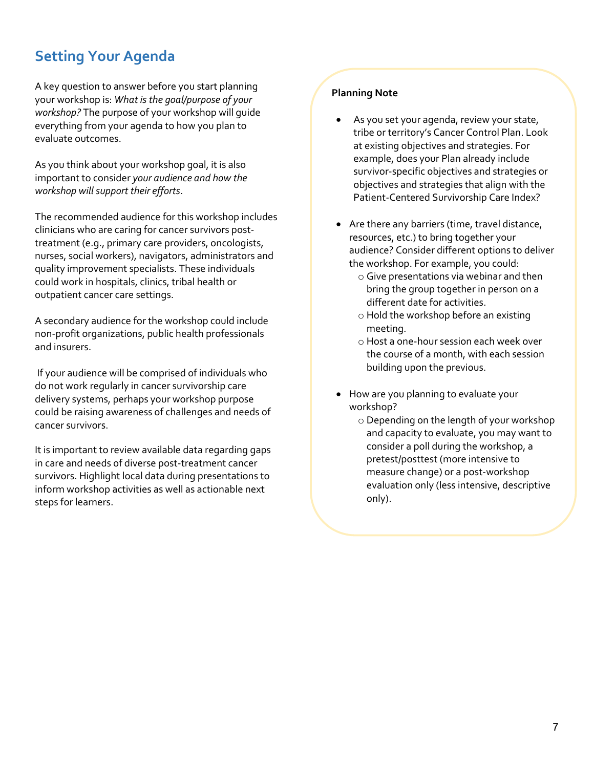## <span id="page-6-0"></span>**Setting Your Agenda**

A key question to answer before you start planning your workshop is: *What is the goal/purpose of your workshop?* The purpose of your workshop will guide everything from your agenda to how you plan to evaluate outcomes.

As you think about your workshop goal, it is also important to consider *your audience and how the workshop will support their efforts*.

The recommended audience for this workshop includes clinicians who are caring for cancer survivors posttreatment (e.g., primary care providers, oncologists, nurses, social workers), navigators, administrators and quality improvement specialists. These individuals could work in hospitals, clinics, tribal health or outpatient cancer care settings.

A secondary audience for the workshop could include non-profit organizations, public health professionals and insurers.

 If your audience will be comprised of individuals who do not work regularly in cancer survivorship care delivery systems, perhaps your workshop purpose could be raising awareness of challenges and needs of cancer survivors.

It is important to review available data regarding gaps in care and needs of diverse post-treatment cancer survivors. Highlight local data during presentations to inform workshop activities as well as actionable next steps for learners.

### **Planning Note**

- As you set your agenda, review your state, tribe or territory's Cancer Control Plan. Look at existing objectives and strategies. For example, does your Plan already include survivor-specific objectives and strategies or objectives and strategies that align with the Patient-Centered Survivorship Care Index?
- Are there any barriers (time, travel distance, resources, etc.) to bring together your audience? Consider different options to deliver the workshop. For example, you could:
	- o Give presentations via webinar and then bring the group together in person on a different date for activities.
	- o Hold the workshop before an existing meeting.
	- o Host a one-hour session each week over the course of a month, with each session building upon the previous.
- How are you planning to evaluate your workshop?
	- o Depending on the length of your workshop and capacity to evaluate, you may want to consider a poll during the workshop, a pretest/posttest (more intensive to measure change) or a post-workshop evaluation only (less intensive, descriptive only).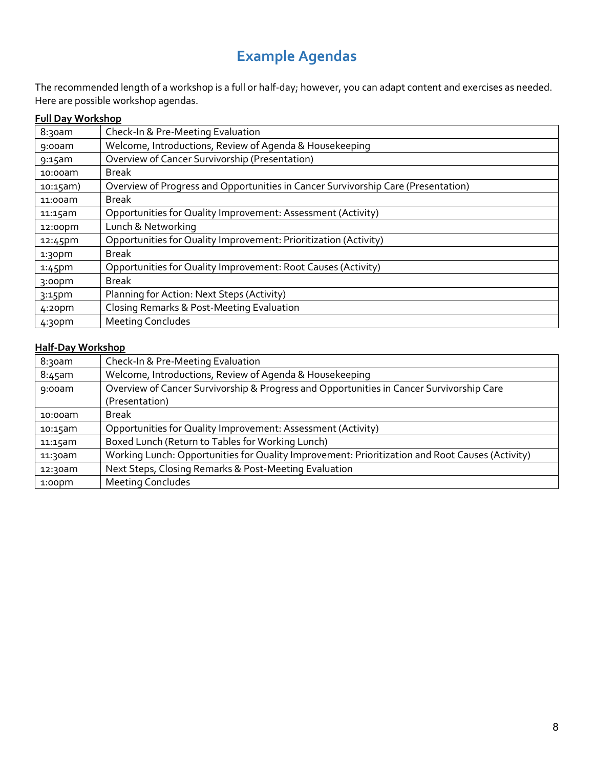## **Example Agendas**

<span id="page-7-0"></span>The recommended length of a workshop is a full or half-day; however, you can adapt content and exercises as needed. Here are possible workshop agendas.

## **Full Day Workshop**

| 8:30am             | Check-In & Pre-Meeting Evaluation                                                 |
|--------------------|-----------------------------------------------------------------------------------|
| $9:00$ am          | Welcome, Introductions, Review of Agenda & Housekeeping                           |
| $9:15$ am          | Overview of Cancer Survivorship (Presentation)                                    |
| $10:00$ am         | Break                                                                             |
| $10:15am$ )        | Overview of Progress and Opportunities in Cancer Survivorship Care (Presentation) |
| 11:00am            | <b>Break</b>                                                                      |
| 11:15am            | Opportunities for Quality Improvement: Assessment (Activity)                      |
| 12:00pm            | Lunch & Networking                                                                |
| 12:45pm            | Opportunities for Quality Improvement: Prioritization (Activity)                  |
| 1:30 <sub>pm</sub> | <b>Break</b>                                                                      |
| $1:45$ pm          | Opportunities for Quality Improvement: Root Causes (Activity)                     |
| 3:00 <sub>pm</sub> | <b>Break</b>                                                                      |
| $3:15$ pm          | Planning for Action: Next Steps (Activity)                                        |
| $4:20$ pm          | Closing Remarks & Post-Meeting Evaluation                                         |
| 4:30 <sub>pm</sub> | <b>Meeting Concludes</b>                                                          |

### **Half-Day Workshop**

| 8:30am     | Check-In & Pre-Meeting Evaluation                                                               |
|------------|-------------------------------------------------------------------------------------------------|
| $8:45$ am  | Welcome, Introductions, Review of Agenda & Housekeeping                                         |
| $9:00$ am  | Overview of Cancer Survivorship & Progress and Opportunities in Cancer Survivorship Care        |
|            | (Presentation)                                                                                  |
| $10:00$ am | <b>Break</b>                                                                                    |
| 10:15am    | Opportunities for Quality Improvement: Assessment (Activity)                                    |
| 11:15am    | Boxed Lunch (Return to Tables for Working Lunch)                                                |
| 11:30am    | Working Lunch: Opportunities for Quality Improvement: Prioritization and Root Causes (Activity) |
| 12:30am    | Next Steps, Closing Remarks & Post-Meeting Evaluation                                           |
| $1:00$ pm  | <b>Meeting Concludes</b>                                                                        |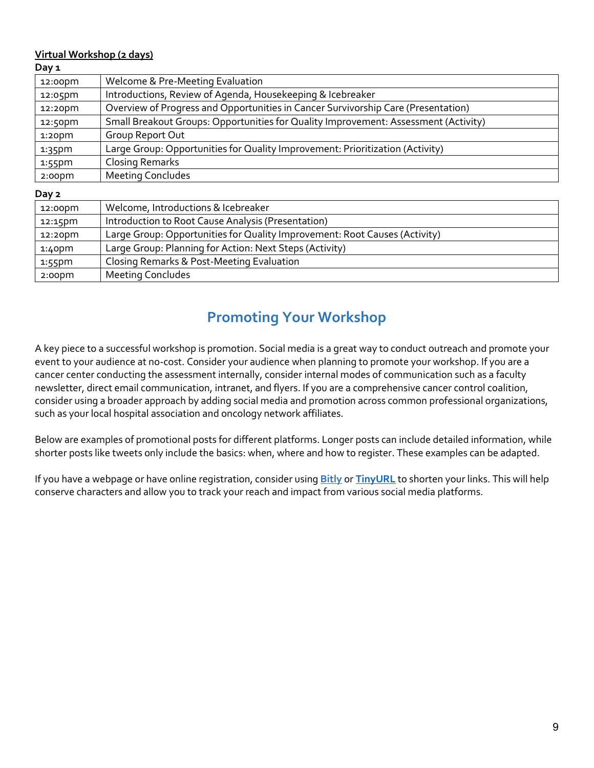### **Virtual Workshop (2 days)**

| 12:00pm   | Welcome & Pre-Meeting Evaluation                                                    |
|-----------|-------------------------------------------------------------------------------------|
| 12:05pm   | Introductions, Review of Agenda, Housekeeping & Icebreaker                          |
| 12:20pm   | Overview of Progress and Opportunities in Cancer Survivorship Care (Presentation)   |
| 12:50pm   | Small Breakout Groups: Opportunities for Quality Improvement: Assessment (Activity) |
| $1:20$ pm | Group Report Out                                                                    |
| $1:35$ pm | Large Group: Opportunities for Quality Improvement: Prioritization (Activity)       |
| $1:55$ pm | <b>Closing Remarks</b>                                                              |
| $2:00$ pm | <b>Meeting Concludes</b>                                                            |
| Day 2     |                                                                                     |

| 12:00pm   | Welcome, Introductions & Icebreaker                                        |
|-----------|----------------------------------------------------------------------------|
| 12:15pm   | Introduction to Root Cause Analysis (Presentation)                         |
| 12:20pm   | Large Group: Opportunities for Quality Improvement: Root Causes (Activity) |
| $1:40$ pm | Large Group: Planning for Action: Next Steps (Activity)                    |
| 1:55pm    | Closing Remarks & Post-Meeting Evaluation                                  |
| $2:00$ pm | <b>Meeting Concludes</b>                                                   |

## **Promoting Your Workshop**

<span id="page-8-0"></span>A key piece to a successful workshop is promotion. Social media is a great way to conduct outreach and promote your event to your audience at no-cost. Consider your audience when planning to promote your workshop. If you are a cancer center conducting the assessment internally, consider internal modes of communication such as a faculty newsletter, direct email communication, intranet, and flyers. If you are a comprehensive cancer control coalition, consider using a broader approach by adding social media and promotion across common professional organizations, such as your local hospital association and oncology network affiliates.

Below are examples of promotional posts for different platforms. Longer posts can include detailed information, while shorter posts like tweets only include the basics: when, where and how to register. These examples can be adapted.

If you have a webpage or have online registration, consider using **[Bitly](https://bitly.com/)** or **[TinyURL](https://tinyurl.com/app)** to shorten your links. This will help conserve characters and allow you to track your reach and impact from various social media platforms.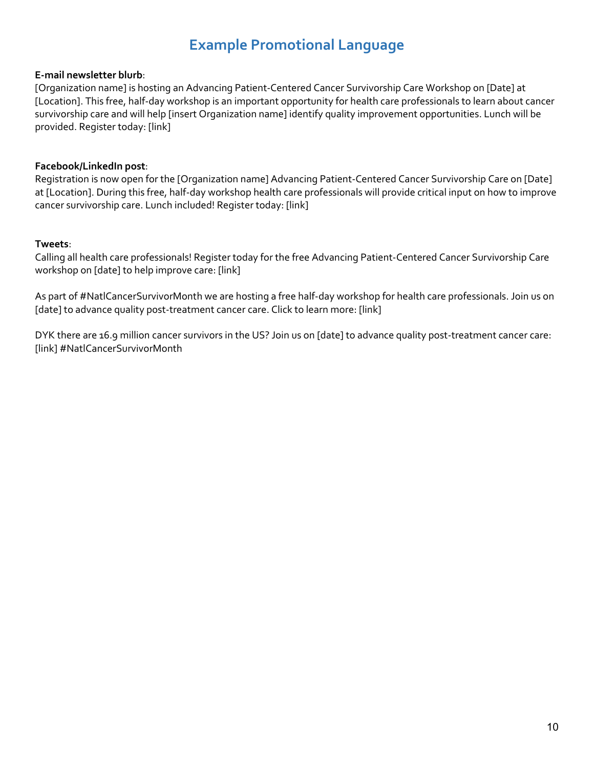## **Example Promotional Language**

### <span id="page-9-0"></span>**E-mail newsletter blurb**:

[Organization name] is hosting an Advancing Patient-Centered Cancer Survivorship Care Workshop on [Date] at [Location]. This free, half-day workshop is an important opportunity for health care professionals to learn about cancer survivorship care and will help [insert Organization name] identify quality improvement opportunities. Lunch will be provided. Register today: [link]

### **Facebook/LinkedIn post**:

Registration is now open for the [Organization name] Advancing Patient-Centered Cancer Survivorship Care on [Date] at [Location]. During this free, half-day workshop health care professionals will provide critical input on how to improve cancer survivorship care. Lunch included! Register today: [link]

#### **Tweets**:

Calling all health care professionals! Register today for the free Advancing Patient-Centered Cancer Survivorship Care workshop on [date] to help improve care: [link]

As part of #NatlCancerSurvivorMonth we are hosting a free half-day workshop for health care professionals. Join us on [date] to advance quality post-treatment cancer care. Click to learn more: [link]

DYK there are 16.9 million cancer survivors in the US? Join us on [date] to advance quality post-treatment cancer care: [link] #NatlCancerSurvivorMonth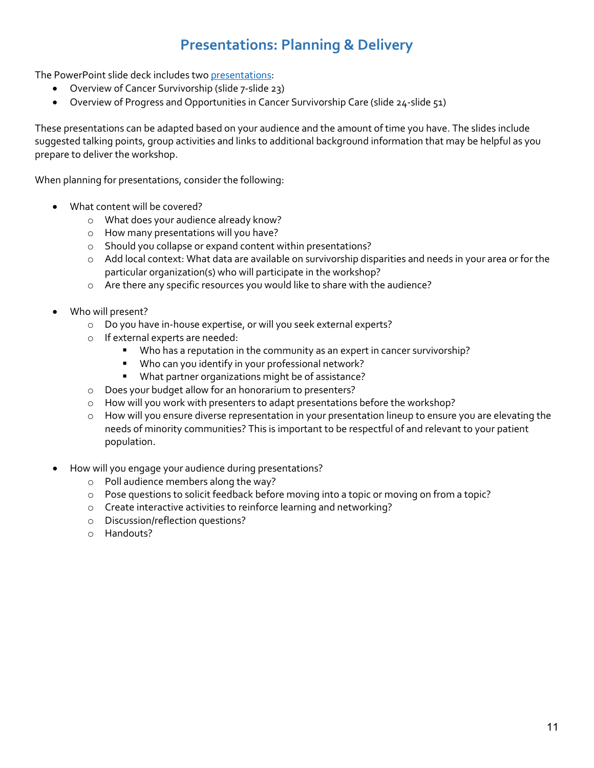## **Presentations: Planning & Delivery**

<span id="page-10-0"></span>The PowerPoint slide deck includes two [presentations:](https://bit.ly/2021AdvPatCenteredCareSlideDeck508) 

- Overview of Cancer Survivorship (slide 7-slide 23)
- Overview of Progress and Opportunities in Cancer Survivorship Care (slide 24-slide 51)

These presentations can be adapted based on your audience and the amount of time you have. The slides include suggested talking points, group activities and links to additional background information that may be helpful as you prepare to deliver the workshop.

When planning for presentations, consider the following:

- What content will be covered?
	- o What does your audience already know?
	- o How many presentations will you have?
	- o Should you collapse or expand content within presentations?
	- $\circ$  Add local context: What data are available on survivorship disparities and needs in your area or for the particular organization(s) who will participate in the workshop?
	- o Are there any specific resources you would like to share with the audience?
- Who will present?
	- o Do you have in-house expertise, or will you seek external experts?
	- o If external experts are needed:
		- **Who has a reputation in the community as an expert in cancer survivorship?**
		- Who can you identify in your professional network?
		- What partner organizations might be of assistance?
	- o Does your budget allow for an honorarium to presenters?
	- o How will you work with presenters to adapt presentations before the workshop?
	- o How will you ensure diverse representation in your presentation lineup to ensure you are elevating the needs of minority communities? This is important to be respectful of and relevant to your patient population.
- How will you engage your audience during presentations?
	- o Poll audience members along the way?
	- o Pose questions to solicit feedback before moving into a topic or moving on from a topic?
	- o Create interactive activities to reinforce learning and networking?
	- o Discussion/reflection questions?
	- o Handouts?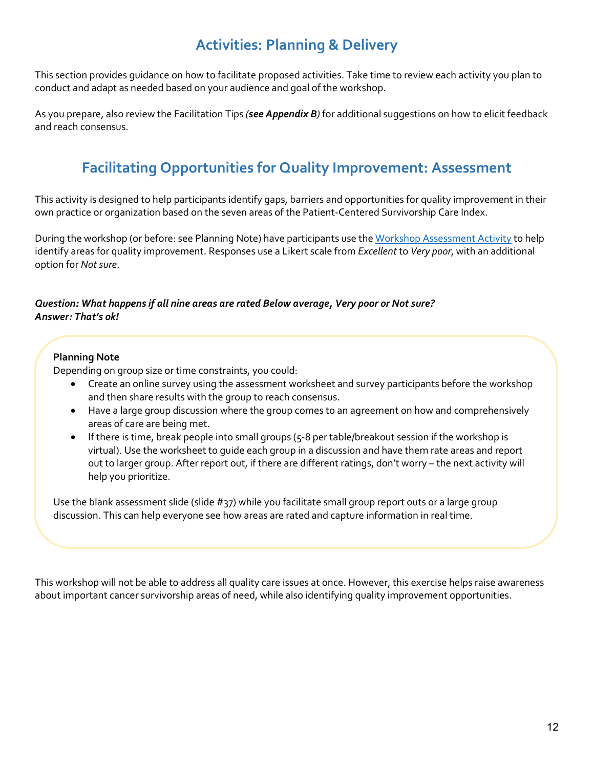## **Activities: Planning & Delivery**

<span id="page-11-0"></span>This section provides guidance on how to facilitate proposed activities. Take time to review each activity you plan to conduct and adapt as needed based on your audience and goal of the workshop.

<span id="page-11-1"></span>As you prepare, also review the Facilitation Tips *(see Appendix B)* for additional suggestions on how to elicit feedback and reach consensus.

## **Facilitating Opportunities for Quality Improvement: Assessment**

This activity is designed to help participants identify gaps, barriers and opportunities for quality improvement in their own practice or organization based on the seven areas of the Patient-Centered Survivorship Care Index.

During the workshop (or before: see Planning Note) have participants use the [Workshop Assessment Activity](https://bit.ly/2021WorkshopAssessActivity508) to help identify areas for quality improvement. Responses use a Likert scale from *Excellent* to *Very poor*, with an additional option for *Not sure*.

### *Question: What happens if all nine areas are rated Below average, Very poor or Not sure? Answer: That's ok!*

### **Planning Note**

Depending on group size or time constraints, you could:

- Create an online survey using the assessment worksheet and survey participants before the workshop and then share results with the group to reach consensus.
- Have a large group discussion where the group comes to an agreement on how and comprehensively areas of care are being met.
- If there is time, break people into small groups (5-8 per table/breakout session if the workshop is virtual). Use the worksheet to guide each group in a discussion and have them rate areas and report out to larger group. After report out, if there are different ratings, don't worry – the next activity will help you prioritize.

Use the blank assessment slide (slide #37) while you facilitate small group report outs or a large group discussion. This can help everyone see how areas are rated and capture information in real time.

This workshop will not be able to address all quality care issues at once. However, this exercise helps raise awareness about important cancer survivorship areas of need, while also identifying quality improvement opportunities.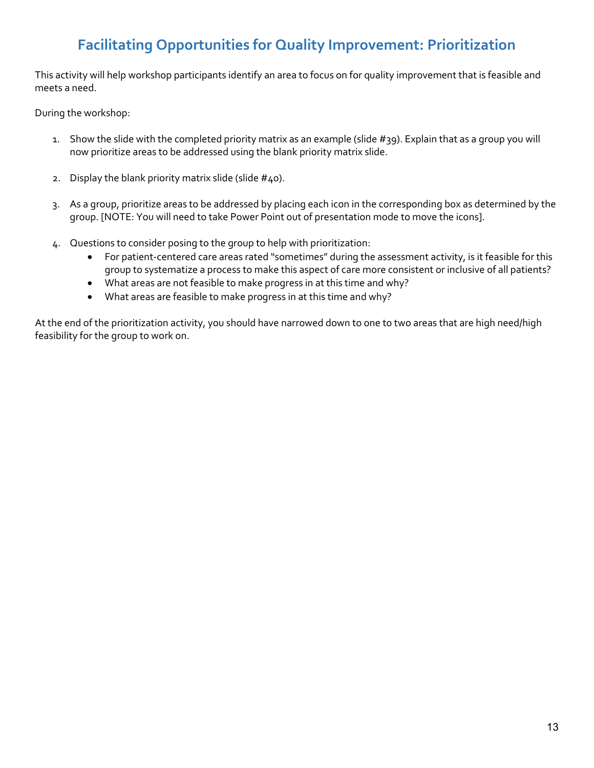## **Facilitating Opportunities for Quality Improvement: Prioritization**

<span id="page-12-0"></span>This activity will help workshop participants identify an area to focus on for quality improvement that is feasible and meets a need.

During the workshop:

- 1. Show the slide with the completed priority matrix as an example (slide #39). Explain that as a group you will now prioritize areas to be addressed using the blank priority matrix slide.
- 2. Display the blank priority matrix slide (slide  $#40$ ).
- 3. As a group, prioritize areas to be addressed by placing each icon in the corresponding box as determined by the group. [NOTE: You will need to take Power Point out of presentation mode to move the icons].
- 4. Questions to consider posing to the group to help with prioritization:
	- For patient-centered care areas rated "sometimes" during the assessment activity, is it feasible for this group to systematize a process to make this aspect of care more consistent or inclusive of all patients?
	- What areas are not feasible to make progress in at this time and why?
	- What areas are feasible to make progress in at this time and why?

At the end of the prioritization activity, you should have narrowed down to one to two areas that are high need/high feasibility for the group to work on.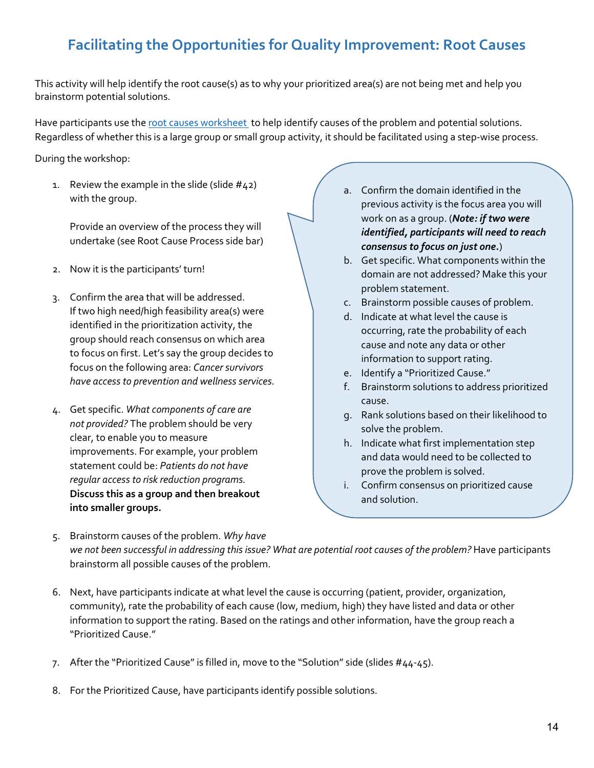## <span id="page-13-0"></span>**Facilitating the Opportunities for Quality Improvement: Root Causes**

This activity will help identify the root cause(s) as to why your prioritized area(s) are not being met and help you brainstorm potential solutions.

Have participants use the [root causes worksheet t](https://bit.ly/RootCausesSheetV2_2021)o help identify causes of the problem and potential solutions. Regardless of whether this is a large group or small group activity, it should be facilitated using a step-wise process.

During the workshop:

1. Review the example in the slide (slide  $#42$ ) with the group.

Provide an overview of the process they will undertake (see Root Cause Process side bar)

- 2. Now it is the participants' turn!
- 3. Confirm the area that will be addressed. If two high need/high feasibility area(s) were identified in the prioritization activity, the group should reach consensus on which area to focus on first. Let's say the group decides to focus on the following area: *Cancer survivors have access to prevention and wellness services.*
- 4. Get specific. *What components of care are not provided?* The problem should be very clear, to enable you to measure improvements. For example, your problem statement could be: *Patients do not have regular access to risk reduction programs.*  **Discuss this as a group and then breakout into smaller groups.**
- a. Confirm the domain identified in the previous activity is the focus area you will work on as a group. (*Note: if two were identified, participants will need to reach consensus to focus on just one.*)
	- b. Get specific. What components within the domain are not addressed? Make this your problem statement.
	- c. Brainstorm possible causes of problem.
	- d. Indicate at what level the cause is occurring, rate the probability of each cause and note any data or other information to support rating.
	- e. Identify a "Prioritized Cause."
	- f. Brainstorm solutions to address prioritized cause.
	- g. Rank solutions based on their likelihood to solve the problem.
	- h. Indicate what first implementation step and data would need to be collected to prove the problem is solved.
	- i. Confirm consensus on prioritized cause and solution.
- 5. Brainstorm causes of the problem. *Why have we not been successful in addressing this issue? What are potential root causes of the problem?* Have participants brainstorm all possible causes of the problem.
- 6. Next, have participants indicate at what level the cause is occurring (patient, provider, organization, community), rate the probability of each cause (low, medium, high) they have listed and data or other information to support the rating. Based on the ratings and other information, have the group reach a "Prioritized Cause."
- 7. After the "Prioritized Cause" is filled in, move to the "Solution" side (slides #44-45).
- 8. For the Prioritized Cause, have participants identify possible solutions.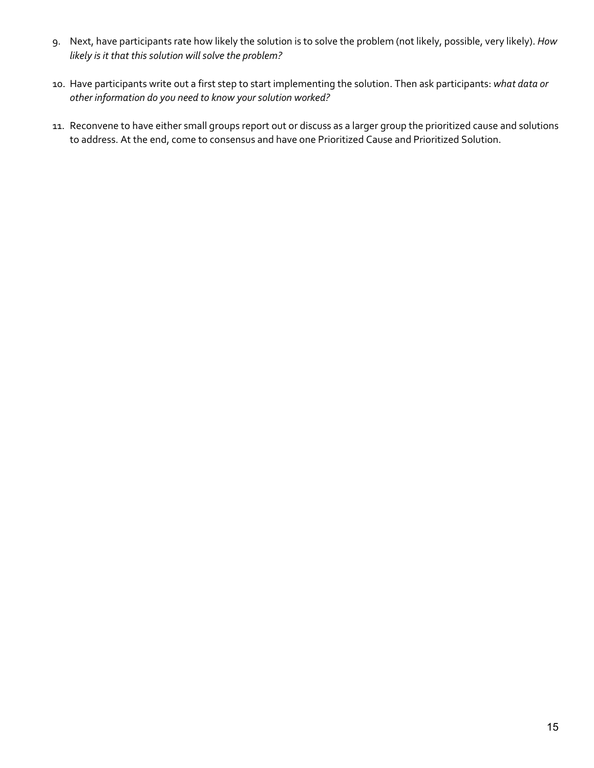- 9. Next, have participants rate how likely the solution is to solve the problem (not likely, possible, very likely). *How likely is it that this solution will solve the problem?*
- 10. Have participants write out a first step to start implementing the solution. Then ask participants: *what data or other information do you need to know your solution worked?*
- 11. Reconvene to have either small groups report out or discuss as a larger group the prioritized cause and solutions to address. At the end, come to consensus and have one Prioritized Cause and Prioritized Solution.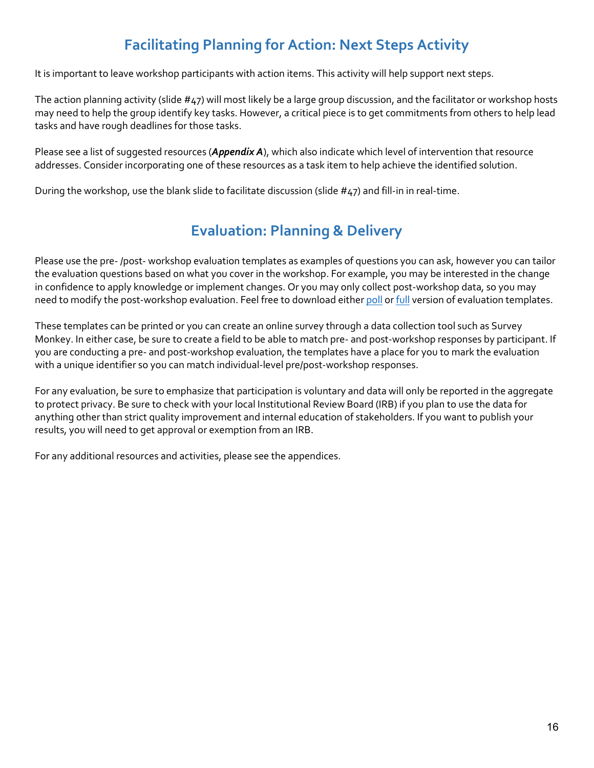## **Facilitating Planning for Action: Next Steps Activity**

<span id="page-15-0"></span>It is important to leave workshop participants with action items. This activity will help support next steps.

The action planning activity (slide #47) will most likely be a large group discussion, and the facilitator or workshop hosts may need to help the group identify key tasks. However, a critical piece is to get commitments from others to help lead tasks and have rough deadlines for those tasks.

Please see a list of suggested resources (*Appendix A*), which also indicate which level of intervention that resource addresses. Consider incorporating one of these resources as a task item to help achieve the identified solution.

<span id="page-15-1"></span>During the workshop, use the blank slide to facilitate discussion (slide #47) and fill-in in real-time.

## **Evaluation: Planning & Delivery**

Please use the pre- /post- workshop evaluation templates as examples of questions you can ask, however you can tailor the evaluation questions based on what you cover in the workshop. For example, you may be interested in the change in confidence to apply knowledge or implement changes. Or you may only collect post-workshop data, so you may need to modify the post-workshop evaluation. Feel free to download either [poll](https://bit.ly/2021PrePostEvalPollVersion508) or [full](https://bit.ly/2021PrePostEvalFullVersion508) version of evaluation templates.

These templates can be printed or you can create an online survey through a data collection tool such as Survey Monkey. In either case, be sure to create a field to be able to match pre- and post-workshop responses by participant. If you are conducting a pre- and post-workshop evaluation, the templates have a place for you to mark the evaluation with a unique identifier so you can match individual-level pre/post-workshop responses.

For any evaluation, be sure to emphasize that participation is voluntary and data will only be reported in the aggregate to protect privacy. Be sure to check with your local Institutional Review Board (IRB) if you plan to use the data for anything other than strict quality improvement and internal education of stakeholders. If you want to publish your results, you will need to get approval or exemption from an IRB.

For any additional resources and activities, please see the appendices.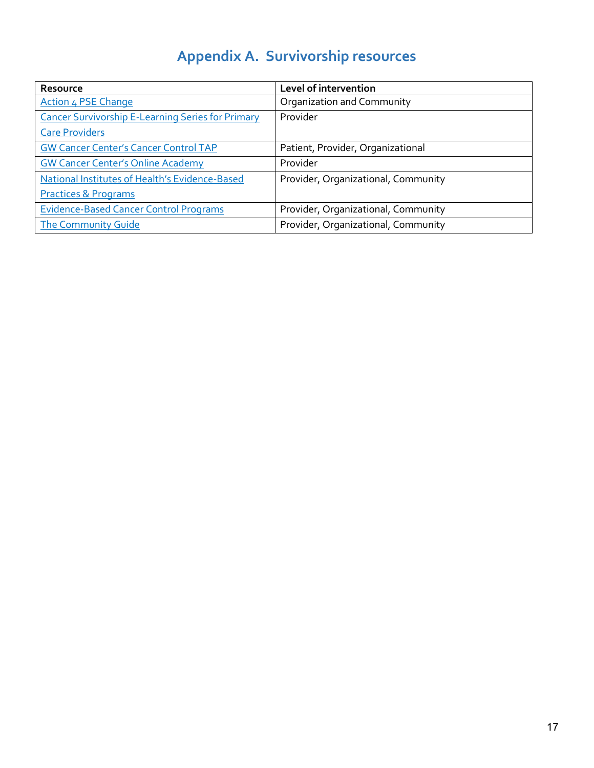# **Appendix A. Survivorship resources**

<span id="page-16-0"></span>

| Resource                                                 | Level of intervention               |
|----------------------------------------------------------|-------------------------------------|
| <b>Action 4 PSE Change</b>                               | Organization and Community          |
| <b>Cancer Survivorship E-Learning Series for Primary</b> | Provider                            |
| <b>Care Providers</b>                                    |                                     |
| <b>GW Cancer Center's Cancer Control TAP</b>             | Patient, Provider, Organizational   |
| <b>GW Cancer Center's Online Academy</b>                 | Provider                            |
| National Institutes of Health's Evidence-Based           | Provider, Organizational, Community |
| <b>Practices &amp; Programs</b>                          |                                     |
| <b>Evidence-Based Cancer Control Programs</b>            | Provider, Organizational, Community |
| <b>The Community Guide</b>                               | Provider, Organizational, Community |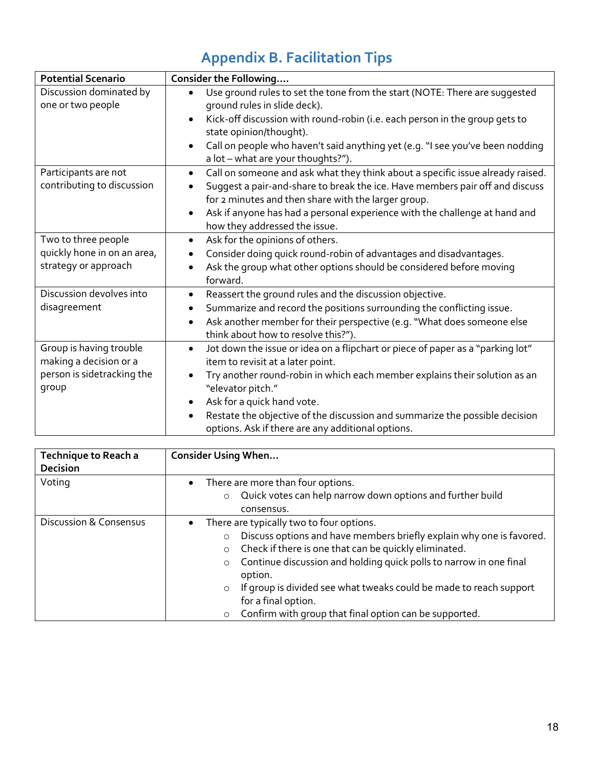# **Appendix B. Facilitation Tips**

<span id="page-17-0"></span>

| <b>Potential Scenario</b>                                                                | Consider the Following                                                                                                                                                                                                                                                                                                                                                                                                                       |
|------------------------------------------------------------------------------------------|----------------------------------------------------------------------------------------------------------------------------------------------------------------------------------------------------------------------------------------------------------------------------------------------------------------------------------------------------------------------------------------------------------------------------------------------|
| Discussion dominated by<br>one or two people                                             | Use ground rules to set the tone from the start (NOTE: There are suggested<br>$\bullet$<br>ground rules in slide deck).<br>Kick-off discussion with round-robin (i.e. each person in the group gets to<br>$\bullet$<br>state opinion/thought).<br>Call on people who haven't said anything yet (e.g. "I see you've been nodding<br>$\bullet$<br>a lot - what are your thoughts?").                                                           |
| Participants are not<br>contributing to discussion                                       | Call on someone and ask what they think about a specific issue already raised.<br>$\bullet$<br>Suggest a pair-and-share to break the ice. Have members pair off and discuss<br>$\bullet$<br>for 2 minutes and then share with the larger group.<br>Ask if anyone has had a personal experience with the challenge at hand and<br>$\bullet$<br>how they addressed the issue.                                                                  |
| Two to three people<br>quickly hone in on an area,<br>strategy or approach               | Ask for the opinions of others.<br>$\bullet$<br>Consider doing quick round-robin of advantages and disadvantages.<br>$\bullet$<br>Ask the group what other options should be considered before moving<br>$\bullet$<br>forward.                                                                                                                                                                                                               |
| Discussion devolves into<br>disagreement                                                 | Reassert the ground rules and the discussion objective.<br>$\bullet$<br>Summarize and record the positions surrounding the conflicting issue.<br>$\bullet$<br>Ask another member for their perspective (e.g. "What does someone else<br>$\bullet$<br>think about how to resolve this?").                                                                                                                                                     |
| Group is having trouble<br>making a decision or a<br>person is sidetracking the<br>group | Jot down the issue or idea on a flipchart or piece of paper as a "parking lot"<br>$\bullet$<br>item to revisit at a later point.<br>Try another round-robin in which each member explains their solution as an<br>$\bullet$<br>"elevator pitch."<br>Ask for a quick hand vote.<br>$\bullet$<br>Restate the objective of the discussion and summarize the possible decision<br>$\bullet$<br>options. Ask if there are any additional options. |

| <b>Technique to Reach a</b><br><b>Decision</b> | <b>Consider Using When</b>                                                                                                                                                                                                                                                                                                                                                                                                                                                            |
|------------------------------------------------|---------------------------------------------------------------------------------------------------------------------------------------------------------------------------------------------------------------------------------------------------------------------------------------------------------------------------------------------------------------------------------------------------------------------------------------------------------------------------------------|
| Voting                                         | There are more than four options.<br>$\bullet$<br>Quick votes can help narrow down options and further build<br>$\circ$<br>consensus.                                                                                                                                                                                                                                                                                                                                                 |
| <b>Discussion &amp; Consensus</b>              | There are typically two to four options.<br>$\bullet$<br>Discuss options and have members briefly explain why one is favored.<br>$\circ$<br>Check if there is one that can be quickly eliminated.<br>$\circ$<br>Continue discussion and holding quick polls to narrow in one final<br>$\circ$<br>option.<br>If group is divided see what tweaks could be made to reach support<br>$\circ$<br>for a final option.<br>Confirm with group that final option can be supported.<br>$\circ$ |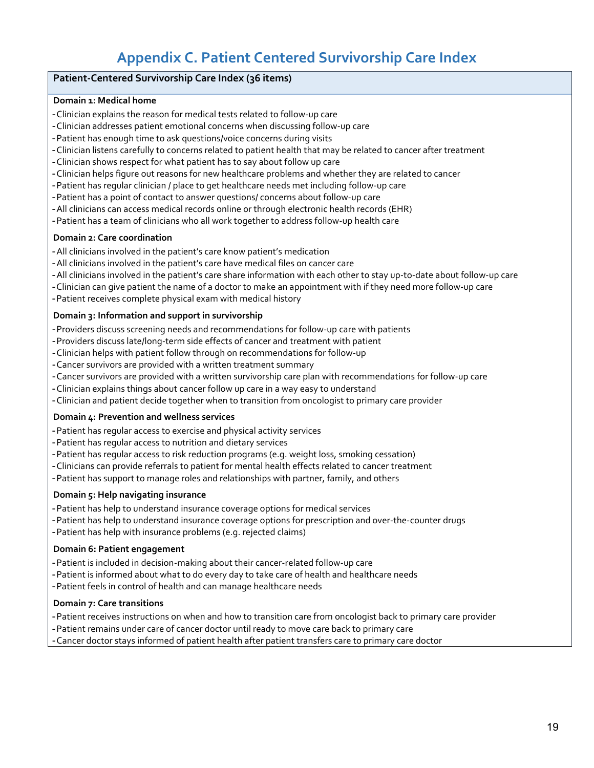## **Appendix C. Patient Centered Survivorship Care Index**

#### <span id="page-18-0"></span>**Patient-Centered Survivorship Care Index (36 items)**

#### **Domain 1: Medical home**

- -Clinician explains the reason for medical tests related to follow-up care
- -Clinician addresses patient emotional concerns when discussing follow-up care
- -Patient has enough time to ask questions/voice concerns during visits
- -Clinician listens carefully to concerns related to patient health that may be related to cancer after treatment
- -Clinician shows respect for what patient has to say about follow up care
- -Clinician helps figure out reasons for new healthcare problems and whether they are related to cancer
- -Patient has regular clinician / place to get healthcare needs met including follow-up care
- -Patient has a point of contact to answer questions/ concerns about follow-up care
- -All clinicians can access medical records online or through electronic health records (EHR)
- -Patient has a team of clinicians who all work together to address follow-up health care

#### **Domain 2: Care coordination**

- -All clinicians involved in the patient's care know patient's medication
- -All clinicians involved in the patient's care have medical files on cancer care
- -All clinicians involved in the patient's care share information with each other to stay up-to-date about follow-up care
- -Clinician can give patient the name of a doctor to make an appointment with if they need more follow-up care
- -Patient receives complete physical exam with medical history

#### **Domain 3: Information and support in survivorship**

- -Providers discuss screening needs and recommendations for follow-up care with patients
- -Providers discuss late/long-term side effects of cancer and treatment with patient
- -Clinician helps with patient follow through on recommendations for follow-up
- -Cancer survivors are provided with a written treatment summary
- -Cancer survivors are provided with a written survivorship care plan with recommendations for follow-up care
- -Clinician explains things about cancer follow up care in a way easy to understand
- -Clinician and patient decide together when to transition from oncologist to primary care provider

#### **Domain 4: Prevention and wellness services**

- -Patient has regular access to exercise and physical activity services
- -Patient has regular access to nutrition and dietary services
- -Patient has regular access to risk reduction programs (e.g. weight loss, smoking cessation)
- -Clinicians can provide referrals to patient for mental health effects related to cancer treatment
- -Patient has support to manage roles and relationships with partner, family, and others

#### **Domain 5: Help navigating insurance**

- -Patient has help to understand insurance coverage options for medical services
- -Patient has help to understand insurance coverage options for prescription and over-the-counter drugs
- -Patient has help with insurance problems (e.g. rejected claims)

#### **Domain 6: Patient engagement**

- -Patient is included in decision-making about their cancer-related follow-up care
- -Patient is informed about what to do every day to take care of health and healthcare needs
- -Patient feels in control of health and can manage healthcare needs

#### **Domain 7: Care transitions**

- -Patient receives instructions on when and how to transition care from oncologist back to primary care provider
- -Patient remains under care of cancer doctor until ready to move care back to primary care
- -Cancer doctor stays informed of patient health after patient transfers care to primary care doctor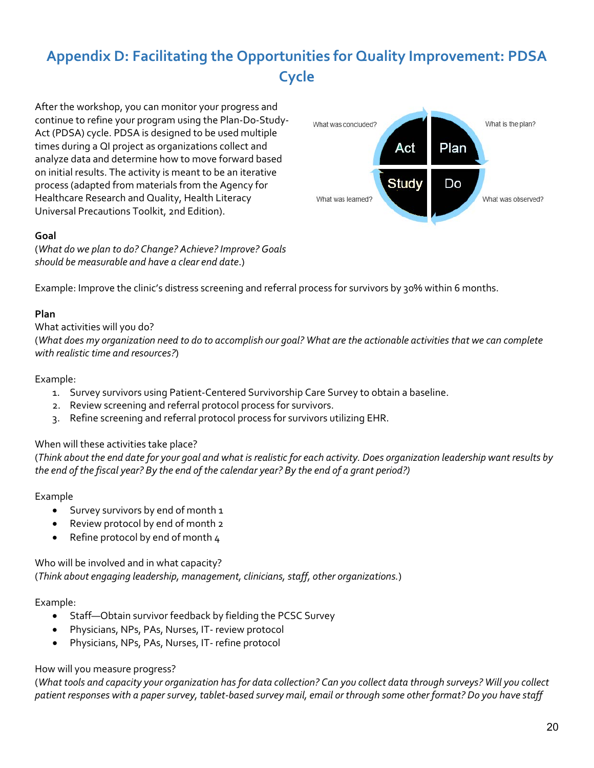## <span id="page-19-0"></span>**Appendix D: Facilitating the Opportunities for Quality Improvement: PDSA Cycle**

After the workshop, you can monitor your progress and continue to refine your program using the Plan-Do-Study-Act (PDSA) cycle. PDSA is designed to be used multiple times during a QI project as organizations collect and analyze data and determine how to move forward based on initial results. The activity is meant to be an iterative process (adapted from materials from the Agency for Healthcare Research and Quality, Health Literacy Universal Precautions Toolkit, 2nd Edition).

### **Goal**

(*What do we plan to do? Change? Achieve? Improve? Goals should be measurable and have a clear end date*.)



### **Plan**

#### What activities will you do?

(*What does my organization need to do to accomplish our goal? What are the actionable activities that we can complete with realistic time and resources?*)

#### Example:

- 1. Survey survivors using Patient-Centered Survivorship Care Survey to obtain a baseline.
- 2. Review screening and referral protocol process for survivors.
- 3. Refine screening and referral protocol process for survivors utilizing EHR.

### When will these activities take place?

(*Think about the end date for your goal and what is realistic for each activity. Does organization leadership want results by the end of the fiscal year? By the end of the calendar year? By the end of a grant period?)*

#### Example

- Survey survivors by end of month 1
- Review protocol by end of month 2
- Refine protocol by end of month 4

Who will be involved and in what capacity? (*Think about engaging leadership, management, clinicians, staff, other organizations.*)

### Example:

- Staff—Obtain survivor feedback by fielding the PCSC Survey
- Physicians, NPs, PAs, Nurses, IT- review protocol
- Physicians, NPs, PAs, Nurses, IT- refine protocol

### How will you measure progress?

(*What tools and capacity your organization has for data collection? Can you collect data through surveys? Will you collect patient responses with a paper survey, tablet-based survey mail, email or through some other format? Do you have staff* 

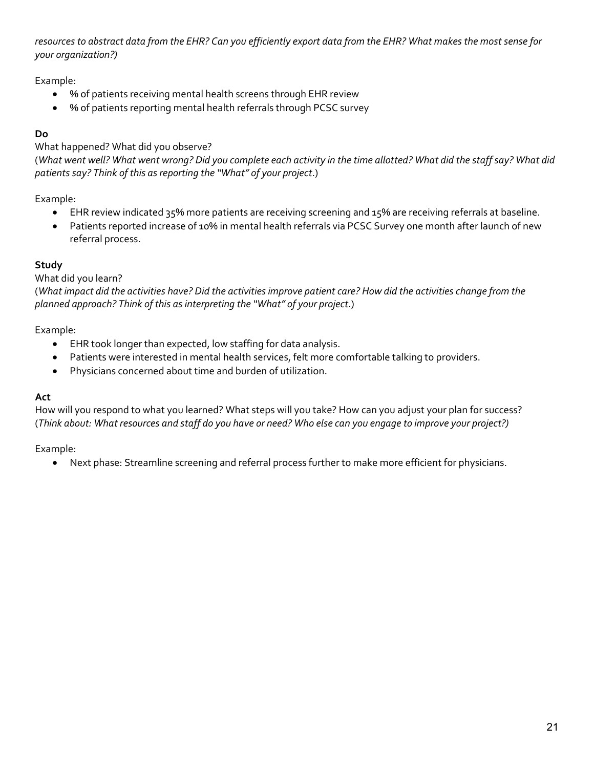*resources to abstract data from the EHR? Can you efficiently export data from the EHR? What makes the most sense for your organization?)*

## Example:

- % of patients receiving mental health screens through EHR review
- % of patients reporting mental health referrals through PCSC survey

## **Do**

### What happened? What did you observe?

(*What went well? What went wrong? Did you complete each activity in the time allotted? What did the staff say? What did patients say? Think of this as reporting the "What" of your project*.)

## Example:

- EHR review indicated 35% more patients are receiving screening and 15% are receiving referrals at baseline.
- Patients reported increase of 10% in mental health referrals via PCSC Survey one month after launch of new referral process.

## **Study**

### What did you learn?

(*What impact did the activities have? Did the activities improve patient care? How did the activities change from the planned approach? Think of this as interpreting the "What" of your project*.)

## Example:

- EHR took longer than expected, low staffing for data analysis.
- Patients were interested in mental health services, felt more comfortable talking to providers.
- Physicians concerned about time and burden of utilization.

### **Act**

How will you respond to what you learned? What steps will you take? How can you adjust your plan for success? (*Think about: What resources and staff do you have or need? Who else can you engage to improve your project?)* 

Example:

• Next phase: Streamline screening and referral process further to make more efficient for physicians.